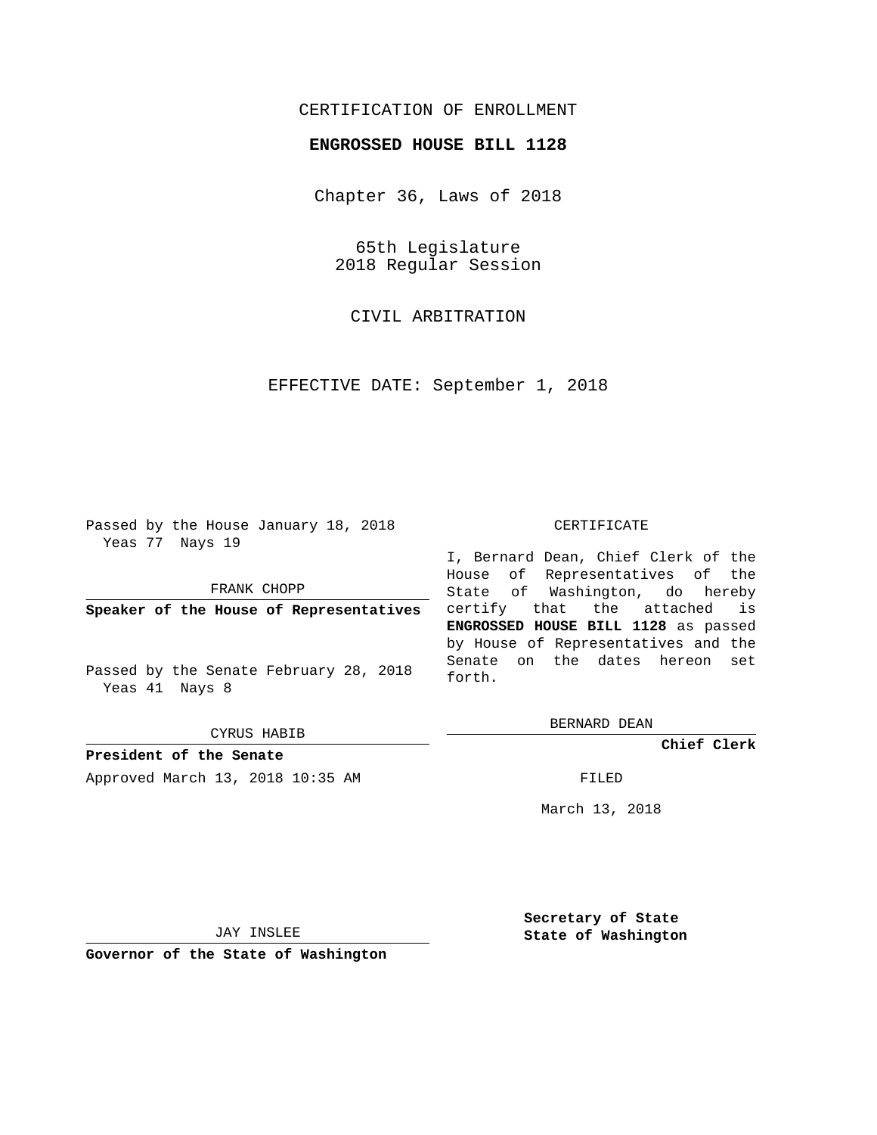## CERTIFICATION OF ENROLLMENT

## **ENGROSSED HOUSE BILL 1128**

Chapter 36, Laws of 2018

65th Legislature 2018 Regular Session

CIVIL ARBITRATION

EFFECTIVE DATE: September 1, 2018

Passed by the House January 18, 2018 Yeas 77 Nays 19

FRANK CHOPP

**Speaker of the House of Representatives**

Passed by the Senate February 28, 2018 Yeas 41 Nays 8

CYRUS HABIB

**President of the Senate** Approved March 13, 2018 10:35 AM FILED

## CERTIFICATE

I, Bernard Dean, Chief Clerk of the House of Representatives of the State of Washington, do hereby certify that the attached is **ENGROSSED HOUSE BILL 1128** as passed by House of Representatives and the Senate on the dates hereon set forth.

BERNARD DEAN

**Chief Clerk**

March 13, 2018

JAY INSLEE

**Governor of the State of Washington**

**Secretary of State State of Washington**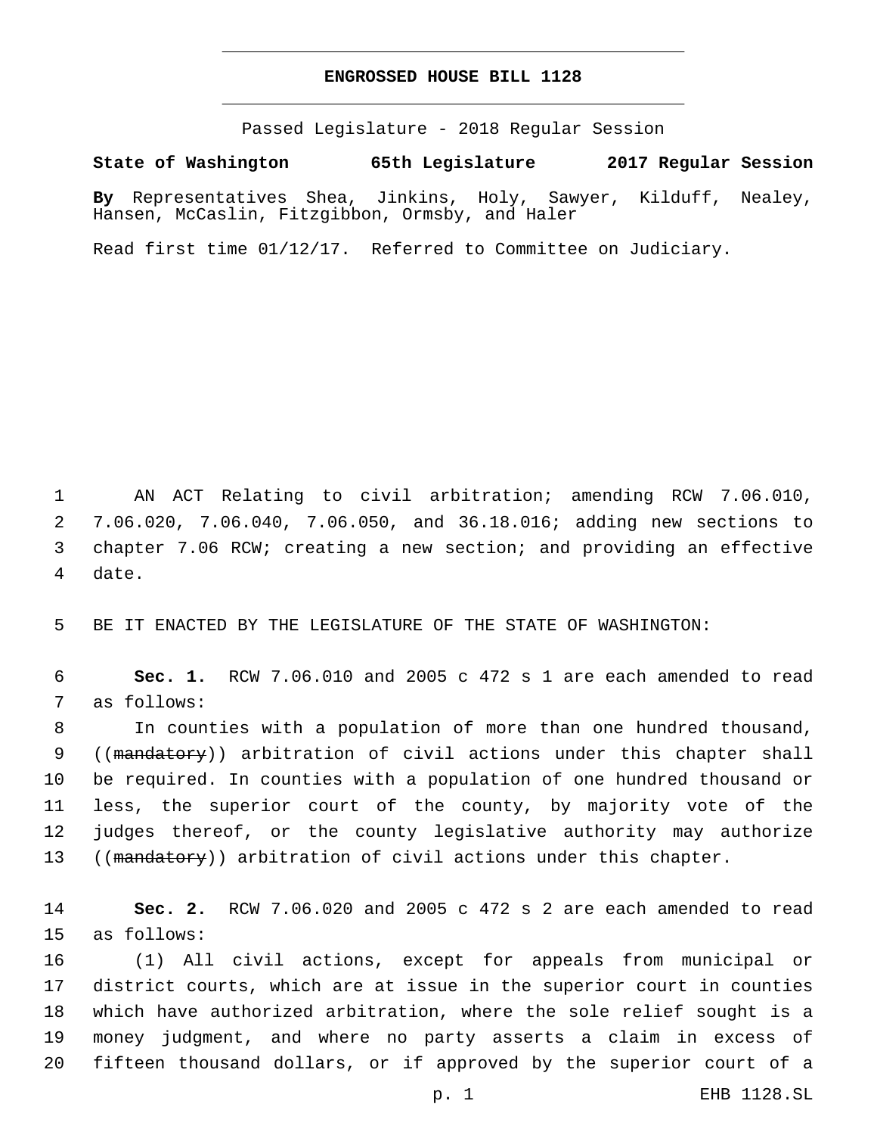## **ENGROSSED HOUSE BILL 1128**

Passed Legislature - 2018 Regular Session

**State of Washington 65th Legislature 2017 Regular Session**

**By** Representatives Shea, Jinkins, Holy, Sawyer, Kilduff, Nealey, Hansen, McCaslin, Fitzgibbon, Ormsby, and Haler

Read first time 01/12/17. Referred to Committee on Judiciary.

 AN ACT Relating to civil arbitration; amending RCW 7.06.010, 7.06.020, 7.06.040, 7.06.050, and 36.18.016; adding new sections to chapter 7.06 RCW; creating a new section; and providing an effective 4 date.

5 BE IT ENACTED BY THE LEGISLATURE OF THE STATE OF WASHINGTON:

6 **Sec. 1.** RCW 7.06.010 and 2005 c 472 s 1 are each amended to read 7 as follows:

 In counties with a population of more than one hundred thousand, 9 ((mandatory)) arbitration of civil actions under this chapter shall be required. In counties with a population of one hundred thousand or less, the superior court of the county, by majority vote of the judges thereof, or the county legislative authority may authorize 13 ((mandatory)) arbitration of civil actions under this chapter.

14 **Sec. 2.** RCW 7.06.020 and 2005 c 472 s 2 are each amended to read 15 as follows:

 (1) All civil actions, except for appeals from municipal or district courts, which are at issue in the superior court in counties which have authorized arbitration, where the sole relief sought is a money judgment, and where no party asserts a claim in excess of fifteen thousand dollars, or if approved by the superior court of a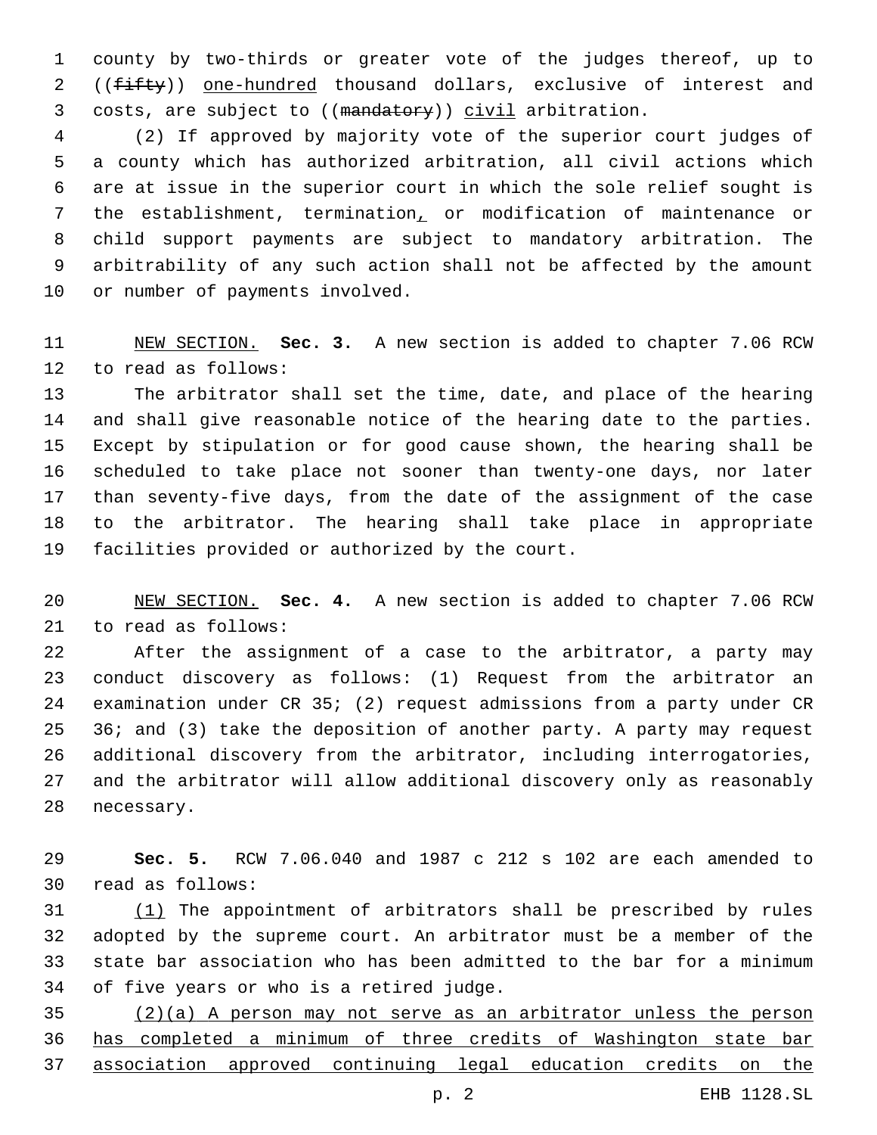county by two-thirds or greater vote of the judges thereof, up to 2 ((fifty)) one-hundred thousand dollars, exclusive of interest and 3 costs, are subject to ((mandatory)) civil arbitration.

 (2) If approved by majority vote of the superior court judges of a county which has authorized arbitration, all civil actions which are at issue in the superior court in which the sole relief sought is the establishment, termination, or modification of maintenance or child support payments are subject to mandatory arbitration. The arbitrability of any such action shall not be affected by the amount 10 or number of payments involved.

 NEW SECTION. **Sec. 3.** A new section is added to chapter 7.06 RCW 12 to read as follows:

 The arbitrator shall set the time, date, and place of the hearing and shall give reasonable notice of the hearing date to the parties. Except by stipulation or for good cause shown, the hearing shall be scheduled to take place not sooner than twenty-one days, nor later than seventy-five days, from the date of the assignment of the case to the arbitrator. The hearing shall take place in appropriate 19 facilities provided or authorized by the court.

 NEW SECTION. **Sec. 4.** A new section is added to chapter 7.06 RCW 21 to read as follows:

 After the assignment of a case to the arbitrator, a party may conduct discovery as follows: (1) Request from the arbitrator an examination under CR 35; (2) request admissions from a party under CR 36; and (3) take the deposition of another party. A party may request additional discovery from the arbitrator, including interrogatories, and the arbitrator will allow additional discovery only as reasonably 28 necessary.

 **Sec. 5.** RCW 7.06.040 and 1987 c 212 s 102 are each amended to read as follows:30

 (1) The appointment of arbitrators shall be prescribed by rules adopted by the supreme court. An arbitrator must be a member of the state bar association who has been admitted to the bar for a minimum 34 of five years or who is a retired judge.

 (2)(a) A person may not serve as an arbitrator unless the person has completed a minimum of three credits of Washington state bar association approved continuing legal education credits on the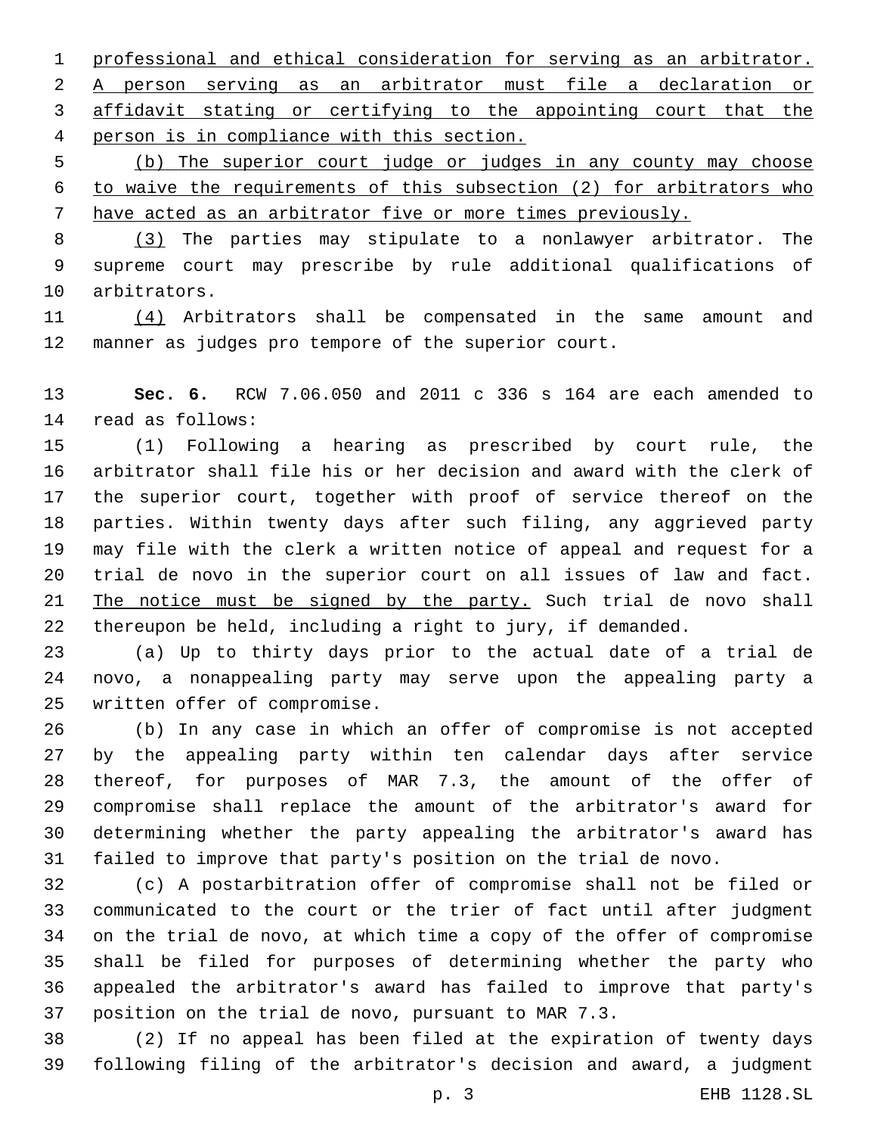professional and ethical consideration for serving as an arbitrator. A person serving as an arbitrator must file a declaration or affidavit stating or certifying to the appointing court that the 4 person is in compliance with this section.

 (b) The superior court judge or judges in any county may choose to waive the requirements of this subsection (2) for arbitrators who have acted as an arbitrator five or more times previously.

 (3) The parties may stipulate to a nonlawyer arbitrator. The supreme court may prescribe by rule additional qualifications of 10 arbitrators.

 (4) Arbitrators shall be compensated in the same amount and manner as judges pro tempore of the superior court.

 **Sec. 6.** RCW 7.06.050 and 2011 c 336 s 164 are each amended to 14 read as follows:

 (1) Following a hearing as prescribed by court rule, the arbitrator shall file his or her decision and award with the clerk of the superior court, together with proof of service thereof on the parties. Within twenty days after such filing, any aggrieved party may file with the clerk a written notice of appeal and request for a trial de novo in the superior court on all issues of law and fact. The notice must be signed by the party. Such trial de novo shall thereupon be held, including a right to jury, if demanded.

 (a) Up to thirty days prior to the actual date of a trial de novo, a nonappealing party may serve upon the appealing party a 25 written offer of compromise.

 (b) In any case in which an offer of compromise is not accepted by the appealing party within ten calendar days after service thereof, for purposes of MAR 7.3, the amount of the offer of compromise shall replace the amount of the arbitrator's award for determining whether the party appealing the arbitrator's award has failed to improve that party's position on the trial de novo.

 (c) A postarbitration offer of compromise shall not be filed or communicated to the court or the trier of fact until after judgment on the trial de novo, at which time a copy of the offer of compromise shall be filed for purposes of determining whether the party who appealed the arbitrator's award has failed to improve that party's position on the trial de novo, pursuant to MAR 7.3.

 (2) If no appeal has been filed at the expiration of twenty days following filing of the arbitrator's decision and award, a judgment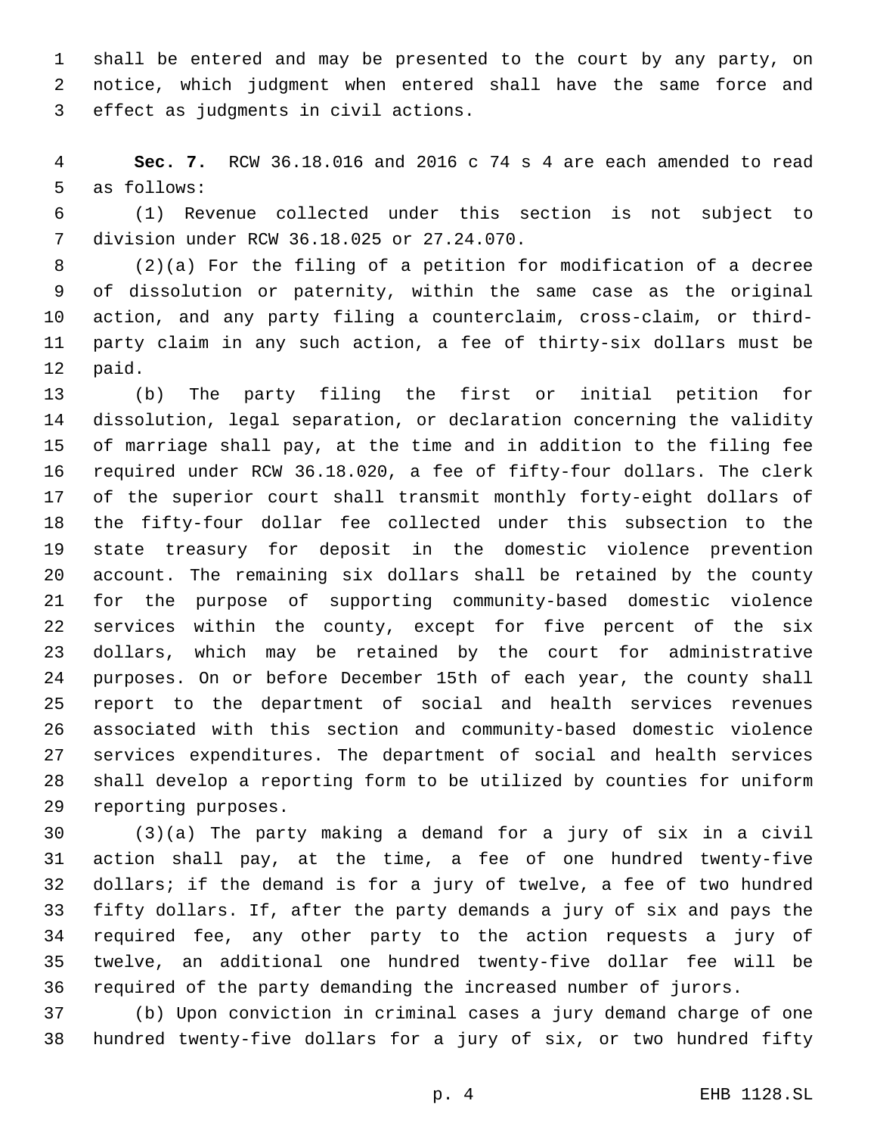shall be entered and may be presented to the court by any party, on notice, which judgment when entered shall have the same force and 3 effect as judgments in civil actions.

 **Sec. 7.** RCW 36.18.016 and 2016 c 74 s 4 are each amended to read 5 as follows:

 (1) Revenue collected under this section is not subject to 7 division under RCW 36.18.025 or 27.24.070.

 (2)(a) For the filing of a petition for modification of a decree of dissolution or paternity, within the same case as the original action, and any party filing a counterclaim, cross-claim, or third- party claim in any such action, a fee of thirty-six dollars must be 12 paid.

 (b) The party filing the first or initial petition for dissolution, legal separation, or declaration concerning the validity of marriage shall pay, at the time and in addition to the filing fee required under RCW 36.18.020, a fee of fifty-four dollars. The clerk of the superior court shall transmit monthly forty-eight dollars of the fifty-four dollar fee collected under this subsection to the state treasury for deposit in the domestic violence prevention account. The remaining six dollars shall be retained by the county for the purpose of supporting community-based domestic violence services within the county, except for five percent of the six dollars, which may be retained by the court for administrative purposes. On or before December 15th of each year, the county shall report to the department of social and health services revenues associated with this section and community-based domestic violence services expenditures. The department of social and health services shall develop a reporting form to be utilized by counties for uniform 29 reporting purposes.

 (3)(a) The party making a demand for a jury of six in a civil action shall pay, at the time, a fee of one hundred twenty-five dollars; if the demand is for a jury of twelve, a fee of two hundred fifty dollars. If, after the party demands a jury of six and pays the required fee, any other party to the action requests a jury of twelve, an additional one hundred twenty-five dollar fee will be required of the party demanding the increased number of jurors.

 (b) Upon conviction in criminal cases a jury demand charge of one hundred twenty-five dollars for a jury of six, or two hundred fifty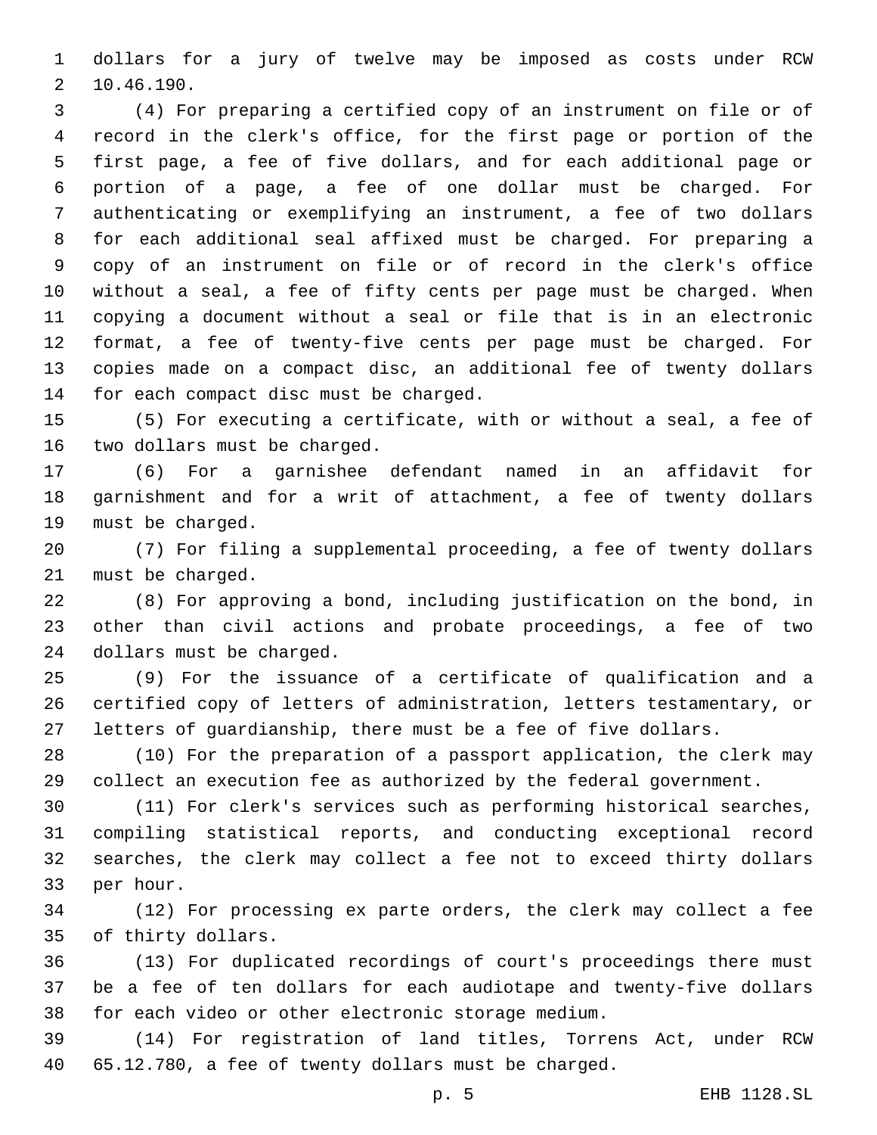dollars for a jury of twelve may be imposed as costs under RCW 10.46.190.2

 (4) For preparing a certified copy of an instrument on file or of record in the clerk's office, for the first page or portion of the first page, a fee of five dollars, and for each additional page or portion of a page, a fee of one dollar must be charged. For authenticating or exemplifying an instrument, a fee of two dollars for each additional seal affixed must be charged. For preparing a copy of an instrument on file or of record in the clerk's office without a seal, a fee of fifty cents per page must be charged. When copying a document without a seal or file that is in an electronic format, a fee of twenty-five cents per page must be charged. For copies made on a compact disc, an additional fee of twenty dollars 14 for each compact disc must be charged.

 (5) For executing a certificate, with or without a seal, a fee of 16 two dollars must be charged.

 (6) For a garnishee defendant named in an affidavit for garnishment and for a writ of attachment, a fee of twenty dollars 19 must be charged.

 (7) For filing a supplemental proceeding, a fee of twenty dollars 21 must be charged.

 (8) For approving a bond, including justification on the bond, in other than civil actions and probate proceedings, a fee of two 24 dollars must be charged.

 (9) For the issuance of a certificate of qualification and a certified copy of letters of administration, letters testamentary, or letters of guardianship, there must be a fee of five dollars.

 (10) For the preparation of a passport application, the clerk may collect an execution fee as authorized by the federal government.

 (11) For clerk's services such as performing historical searches, compiling statistical reports, and conducting exceptional record searches, the clerk may collect a fee not to exceed thirty dollars 33 per hour.

 (12) For processing ex parte orders, the clerk may collect a fee 35 of thirty dollars.

 (13) For duplicated recordings of court's proceedings there must be a fee of ten dollars for each audiotape and twenty-five dollars for each video or other electronic storage medium.

 (14) For registration of land titles, Torrens Act, under RCW 65.12.780, a fee of twenty dollars must be charged.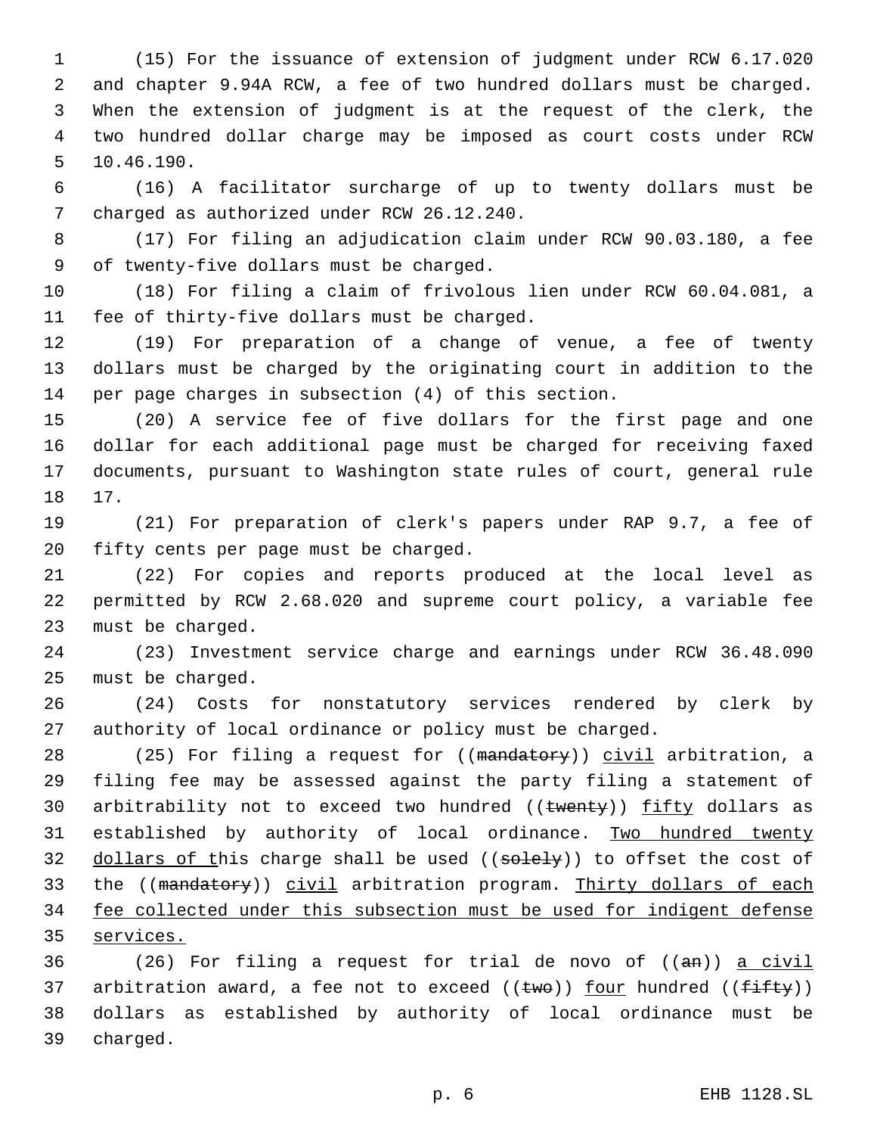(15) For the issuance of extension of judgment under RCW 6.17.020 and chapter 9.94A RCW, a fee of two hundred dollars must be charged. When the extension of judgment is at the request of the clerk, the two hundred dollar charge may be imposed as court costs under RCW 5 10.46.190.

6 (16) A facilitator surcharge of up to twenty dollars must be 7 charged as authorized under RCW 26.12.240.

8 (17) For filing an adjudication claim under RCW 90.03.180, a fee 9 of twenty-five dollars must be charged.

10 (18) For filing a claim of frivolous lien under RCW 60.04.081, a 11 fee of thirty-five dollars must be charged.

12 (19) For preparation of a change of venue, a fee of twenty 13 dollars must be charged by the originating court in addition to the 14 per page charges in subsection (4) of this section.

 (20) A service fee of five dollars for the first page and one dollar for each additional page must be charged for receiving faxed documents, pursuant to Washington state rules of court, general rule 18 17.

19 (21) For preparation of clerk's papers under RAP 9.7, a fee of 20 fifty cents per page must be charged.

21 (22) For copies and reports produced at the local level as 22 permitted by RCW 2.68.020 and supreme court policy, a variable fee 23 must be charged.

24 (23) Investment service charge and earnings under RCW 36.48.090 25 must be charged.

26 (24) Costs for nonstatutory services rendered by clerk by 27 authority of local ordinance or policy must be charged.

28 (25) For filing a request for ((mandatory)) civil arbitration, a 29 filing fee may be assessed against the party filing a statement of 30 arbitrability not to exceed two hundred ((twenty)) fifty dollars as 31 established by authority of local ordinance. Two hundred twenty 32 dollars of this charge shall be used ((solely)) to offset the cost of 33 the ((mandatory)) civil arbitration program. Thirty dollars of each 34 fee collected under this subsection must be used for indigent defense 35 services.

36 (26) For filing a request for trial de novo of ((an)) a civil 37 arbitration award, a fee not to exceed (( $\text{two}$ )) four hundred (( $\text{f\text{-}if\text{ty}}$ )) 38 dollars as established by authority of local ordinance must be 39 charged.